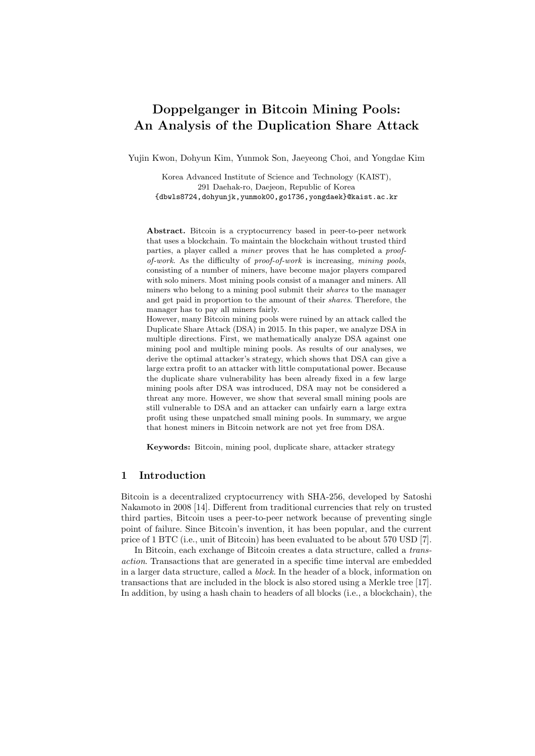# **Doppelganger in Bitcoin Mining Pools: An Analysis of the Duplication Share Attack**

Yujin Kwon, Dohyun Kim, Yunmok Son, Jaeyeong Choi, and Yongdae Kim

Korea Advanced Institute of Science and Technology (KAIST), 291 Daehak-ro, Daejeon, Republic of Korea {dbwls8724,dohyunjk,yunmok00,go1736,yongdaek}@kaist.ac.kr

**Abstract.** Bitcoin is a cryptocurrency based in peer-to-peer network that uses a blockchain. To maintain the blockchain without trusted third parties, a player called a *miner* proves that he has completed a *proofof-work*. As the difficulty of *proof-of-work* is increasing, *mining pools*, consisting of a number of miners, have become major players compared with solo miners. Most mining pools consist of a manager and miners. All miners who belong to a mining pool submit their *shares* to the manager and get paid in proportion to the amount of their *shares*. Therefore, the manager has to pay all miners fairly.

However, many Bitcoin mining pools were ruined by an attack called the Duplicate Share Attack (DSA) in 2015. In this paper, we analyze DSA in multiple directions. First, we mathematically analyze DSA against one mining pool and multiple mining pools. As results of our analyses, we derive the optimal attacker's strategy, which shows that DSA can give a large extra profit to an attacker with little computational power. Because the duplicate share vulnerability has been already fixed in a few large mining pools after DSA was introduced, DSA may not be considered a threat any more. However, we show that several small mining pools are still vulnerable to DSA and an attacker can unfairly earn a large extra profit using these unpatched small mining pools. In summary, we argue that honest miners in Bitcoin network are not yet free from DSA.

**Keywords:** Bitcoin, mining pool, duplicate share, attacker strategy

## **1 Introduction**

Bitcoin is a decentralized cryptocurrency with SHA-256, developed by Satoshi Nakamoto in 2008 [14]. Different from traditional currencies that rely on trusted third parties, Bitcoin uses a peer-to-peer network because of preventing single point of failure. Since Bitcoin's invention, it has been popular, and the current price of 1 BTC (i.e., unit of Bitcoin) has been evaluated to be about 570 USD [7].

In Bitcoin, each exchange of Bitcoin creates a data structure, called a *transaction*. Transactions that are generated in a specific time interval are embedded in a larger data structure, called a *block*. In the header of a block, information on transactions that are included in the block is also stored using a Merkle tree [17]. In addition, by using a hash chain to headers of all blocks (i.e., a blockchain), the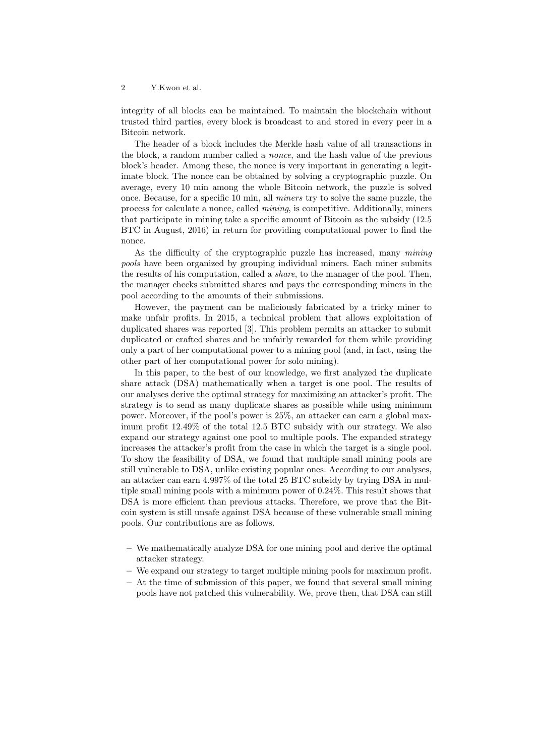integrity of all blocks can be maintained. To maintain the blockchain without trusted third parties, every block is broadcast to and stored in every peer in a Bitcoin network.

The header of a block includes the Merkle hash value of all transactions in the block, a random number called a *nonce*, and the hash value of the previous block's header. Among these, the nonce is very important in generating a legitimate block. The nonce can be obtained by solving a cryptographic puzzle. On average, every 10 min among the whole Bitcoin network, the puzzle is solved once. Because, for a specific 10 min, all *miners* try to solve the same puzzle, the process for calculate a nonce, called *mining*, is competitive. Additionally, miners that participate in mining take a specific amount of Bitcoin as the subsidy (12.5 BTC in August, 2016) in return for providing computational power to find the nonce.

As the difficulty of the cryptographic puzzle has increased, many *mining pools* have been organized by grouping individual miners. Each miner submits the results of his computation, called a *share*, to the manager of the pool. Then, the manager checks submitted shares and pays the corresponding miners in the pool according to the amounts of their submissions.

However, the payment can be maliciously fabricated by a tricky miner to make unfair profits. In 2015, a technical problem that allows exploitation of duplicated shares was reported [3]. This problem permits an attacker to submit duplicated or crafted shares and be unfairly rewarded for them while providing only a part of her computational power to a mining pool (and, in fact, using the other part of her computational power for solo mining).

In this paper, to the best of our knowledge, we first analyzed the duplicate share attack (DSA) mathematically when a target is one pool. The results of our analyses derive the optimal strategy for maximizing an attacker's profit. The strategy is to send as many duplicate shares as possible while using minimum power. Moreover, if the pool's power is 25%, an attacker can earn a global maximum profit 12.49% of the total 12.5 BTC subsidy with our strategy. We also expand our strategy against one pool to multiple pools. The expanded strategy increases the attacker's profit from the case in which the target is a single pool. To show the feasibility of DSA, we found that multiple small mining pools are still vulnerable to DSA, unlike existing popular ones. According to our analyses, an attacker can earn 4.997% of the total 25 BTC subsidy by trying DSA in multiple small mining pools with a minimum power of 0.24%. This result shows that DSA is more efficient than previous attacks. Therefore, we prove that the Bitcoin system is still unsafe against DSA because of these vulnerable small mining pools. Our contributions are as follows.

- **–** We mathematically analyze DSA for one mining pool and derive the optimal attacker strategy.
- **–** We expand our strategy to target multiple mining pools for maximum profit.
- **–** At the time of submission of this paper, we found that several small mining pools have not patched this vulnerability. We, prove then, that DSA can still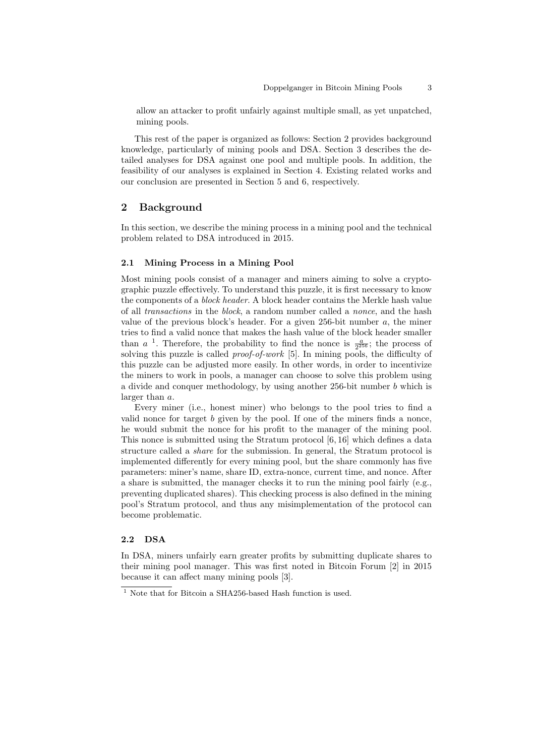allow an attacker to profit unfairly against multiple small, as yet unpatched, mining pools.

This rest of the paper is organized as follows: Section 2 provides background knowledge, particularly of mining pools and DSA. Section 3 describes the detailed analyses for DSA against one pool and multiple pools. In addition, the feasibility of our analyses is explained in Section 4. Existing related works and our conclusion are presented in Section 5 and 6, respectively.

## **2 Background**

In this section, we describe the mining process in a mining pool and the technical problem related to DSA introduced in 2015.

#### **2.1 Mining Process in a Mining Pool**

Most mining pools consist of a manager and miners aiming to solve a cryptographic puzzle effectively. To understand this puzzle, it is first necessary to know the components of a *block header*. A block header contains the Merkle hash value of all *transactions* in the *block*, a random number called a *nonce*, and the hash value of the previous block's header. For a given 256-bit number *a*, the miner tries to find a valid nonce that makes the hash value of the block header smaller than  $a^{-1}$ . Therefore, the probability to find the nonce is  $\frac{a}{2^{256}}$ ; the process of solving this puzzle is called *proof-of-work* [5]. In mining pools, the difficulty of this puzzle can be adjusted more easily. In other words, in order to incentivize the miners to work in pools, a manager can choose to solve this problem using a divide and conquer methodology, by using another 256-bit number *b* which is larger than *a*.

Every miner (i.e., honest miner) who belongs to the pool tries to find a valid nonce for target *b* given by the pool. If one of the miners finds a nonce, he would submit the nonce for his profit to the manager of the mining pool. This nonce is submitted using the Stratum protocol [6, 16] which defines a data structure called a *share* for the submission. In general, the Stratum protocol is implemented differently for every mining pool, but the share commonly has five parameters: miner's name, share ID, extra-nonce, current time, and nonce. After a share is submitted, the manager checks it to run the mining pool fairly (e.g., preventing duplicated shares). This checking process is also defined in the mining pool's Stratum protocol, and thus any misimplementation of the protocol can become problematic.

#### **2.2 DSA**

In DSA, miners unfairly earn greater profits by submitting duplicate shares to their mining pool manager. This was first noted in Bitcoin Forum [2] in 2015 because it can affect many mining pools [3].

 $^{\rm 1}$  Note that for Bitcoin a SHA256-based Hash function is used.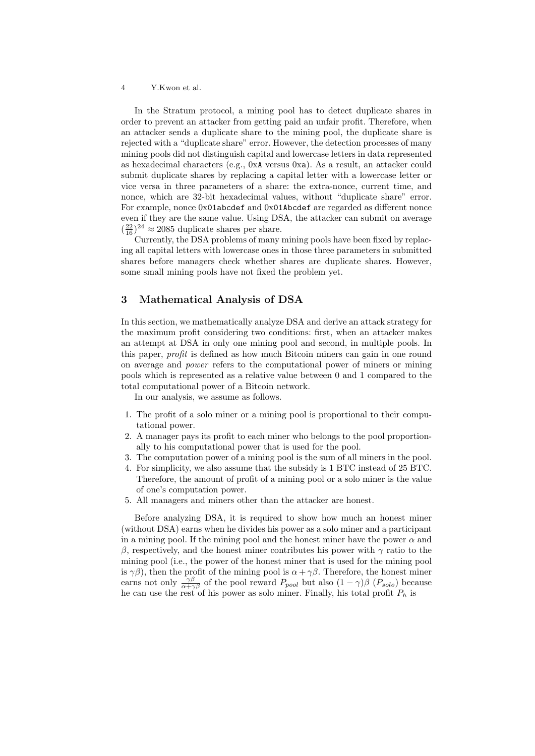In the Stratum protocol, a mining pool has to detect duplicate shares in order to prevent an attacker from getting paid an unfair profit. Therefore, when an attacker sends a duplicate share to the mining pool, the duplicate share is rejected with a "duplicate share" error. However, the detection processes of many mining pools did not distinguish capital and lowercase letters in data represented as hexadecimal characters (e.g., 0xA versus 0xa). As a result, an attacker could submit duplicate shares by replacing a capital letter with a lowercase letter or vice versa in three parameters of a share: the extra-nonce, current time, and nonce, which are 32-bit hexadecimal values, without "duplicate share" error. For example, nonce 0x01abcdef and 0x01Abcdef are regarded as different nonce even if they are the same value. Using DSA, the attacker can submit on average  $(\frac{22}{16})^{24} \approx 2085$  duplicate shares per share.

Currently, the DSA problems of many mining pools have been fixed by replacing all capital letters with lowercase ones in those three parameters in submitted shares before managers check whether shares are duplicate shares. However, some small mining pools have not fixed the problem yet.

## **3 Mathematical Analysis of DSA**

In this section, we mathematically analyze DSA and derive an attack strategy for the maximum profit considering two conditions: first, when an attacker makes an attempt at DSA in only one mining pool and second, in multiple pools. In this paper, *profit* is defined as how much Bitcoin miners can gain in one round on average and *power* refers to the computational power of miners or mining pools which is represented as a relative value between 0 and 1 compared to the total computational power of a Bitcoin network.

In our analysis, we assume as follows.

- 1. The profit of a solo miner or a mining pool is proportional to their computational power.
- 2. A manager pays its profit to each miner who belongs to the pool proportionally to his computational power that is used for the pool.
- 3. The computation power of a mining pool is the sum of all miners in the pool.
- 4. For simplicity, we also assume that the subsidy is 1 BTC instead of 25 BTC. Therefore, the amount of profit of a mining pool or a solo miner is the value of one's computation power.
- 5. All managers and miners other than the attacker are honest.

Before analyzing DSA, it is required to show how much an honest miner (without DSA) earns when he divides his power as a solo miner and a participant in a mining pool. If the mining pool and the honest miner have the power  $\alpha$  and *β*, respectively, and the honest miner contributes his power with *γ* ratio to the mining pool (i.e., the power of the honest miner that is used for the mining pool is  $\gamma\beta$ , then the profit of the mining pool is  $\alpha + \gamma\beta$ . Therefore, the honest miner earns not only  $\frac{\gamma \beta}{\alpha + \gamma \beta}$  of the pool reward *P*<sub>*pool*</sub> but also  $(1 - \gamma)\beta$  (*P<sub>solo</sub>*) because he can use the rest of his power as solo miner. Finally, his total profit  $P_h$  is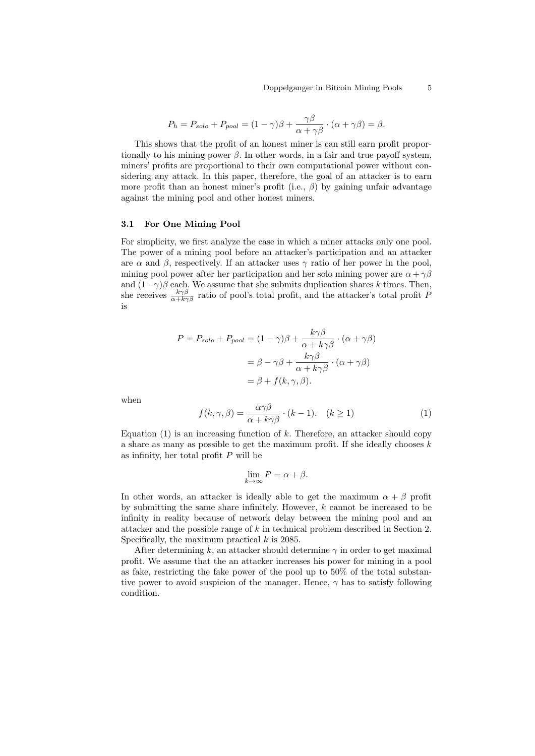#### Doppelganger in Bitcoin Mining Pools 5

$$
P_h = P_{solo} + P_{pool} = (1 - \gamma)\beta + \frac{\gamma\beta}{\alpha + \gamma\beta} \cdot (\alpha + \gamma\beta) = \beta.
$$

This shows that the profit of an honest miner is can still earn profit proportionally to his mining power  $\beta$ . In other words, in a fair and true payoff system, miners' profits are proportional to their own computational power without considering any attack. In this paper, therefore, the goal of an attacker is to earn more profit than an honest miner's profit (i.e.,  $\beta$ ) by gaining unfair advantage against the mining pool and other honest miners.

#### **3.1 For One Mining Pool**

For simplicity, we first analyze the case in which a miner attacks only one pool. The power of a mining pool before an attacker's participation and an attacker are  $\alpha$  and  $\beta$ , respectively. If an attacker uses  $\gamma$  ratio of her power in the pool, mining pool power after her participation and her solo mining power are  $\alpha + \gamma \beta$ and  $(1-\gamma)\beta$  each. We assume that she submits duplication shares *k* times. Then, she receives  $\frac{k\gamma\beta}{\alpha+k\gamma\beta}$  ratio of pool's total profit, and the attacker's total profit *P* is

$$
P = P_{solo} + P_{pool} = (1 - \gamma)\beta + \frac{k\gamma\beta}{\alpha + k\gamma\beta} \cdot (\alpha + \gamma\beta)
$$

$$
= \beta - \gamma\beta + \frac{k\gamma\beta}{\alpha + k\gamma\beta} \cdot (\alpha + \gamma\beta)
$$

$$
= \beta + f(k, \gamma, \beta).
$$

when

$$
f(k, \gamma, \beta) = \frac{\alpha \gamma \beta}{\alpha + k \gamma \beta} \cdot (k - 1). \quad (k \ge 1)
$$
 (1)

Equation  $(1)$  is an increasing function of  $k$ . Therefore, an attacker should copy a share as many as possible to get the maximum profit. If she ideally chooses *k* as infinity, her total profit *P* will be

$$
\lim_{k \to \infty} P = \alpha + \beta.
$$

In other words, an attacker is ideally able to get the maximum  $\alpha + \beta$  profit by submitting the same share infinitely. However, *k* cannot be increased to be infinity in reality because of network delay between the mining pool and an attacker and the possible range of *k* in technical problem described in Section 2. Specifically, the maximum practical *k* is 2085.

After determining k, an attacker should determine  $\gamma$  in order to get maximal profit. We assume that the an attacker increases his power for mining in a pool as fake, restricting the fake power of the pool up to 50% of the total substantive power to avoid suspicion of the manager. Hence,  $\gamma$  has to satisfy following condition.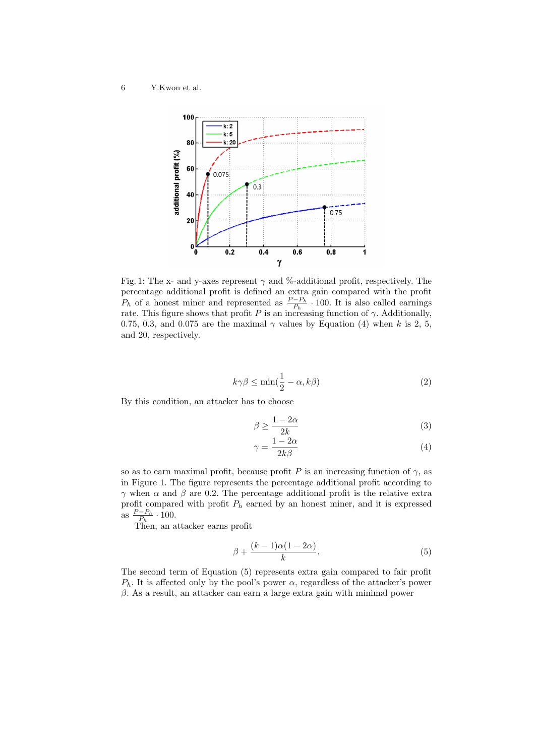

Fig. 1: The x- and y-axes represent  $\gamma$  and %-additional profit, respectively. The percentage additional profit is defined an extra gain compared with the profit *P<sub>h</sub>* of a honest miner and represented as  $\frac{P - P_h}{P_h} \cdot 100$ . It is also called earnings rate. This figure shows that profit  $P$  is an increasing function of  $\gamma$ . Additionally, 0.75, 0.3, and 0.075 are the maximal  $\gamma$  values by Equation (4) when *k* is 2, 5, and 20, respectively.

$$
k\gamma\beta \le \min(\frac{1}{2} - \alpha, k\beta)
$$
 (2)

By this condition, an attacker has to choose

$$
\beta \ge \frac{1 - 2\alpha}{2k} \tag{3}
$$

$$
\gamma = \frac{1 - 2\alpha}{2k\beta} \tag{4}
$$

so as to earn maximal profit, because profit *P* is an increasing function of  $\gamma$ , as in Figure 1. The figure represents the percentage additional profit according to *γ* when *α* and *β* are 0.2. The percentage additional profit is the relative extra profit compared with profit  $P_h$  earned by an honest miner, and it is expressed as  $\frac{P - P_h}{P_h} \cdot 100$ .

Then, an attacker earns profit

$$
\beta + \frac{(k-1)\alpha(1-2\alpha)}{k}.\tag{5}
$$

The second term of Equation (5) represents extra gain compared to fair profit  $P_h$ . It is affected only by the pool's power  $\alpha$ , regardless of the attacker's power *β*. As a result, an attacker can earn a large extra gain with minimal power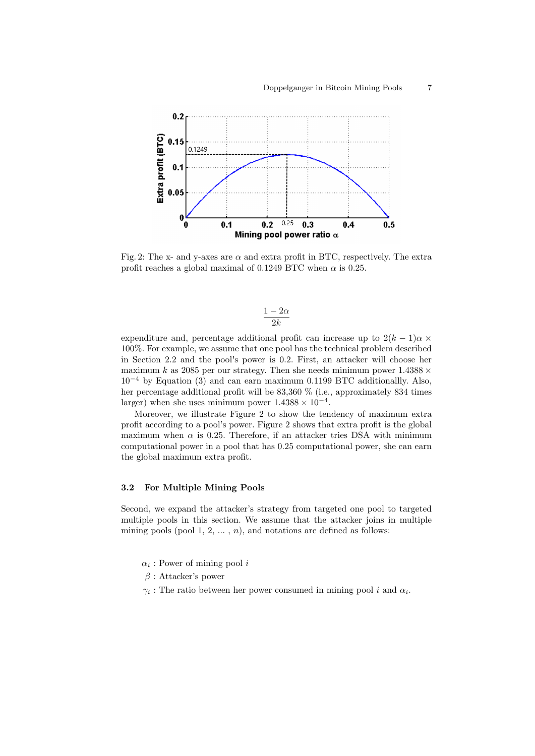

Fig. 2: The x- and y-axes are  $\alpha$  and extra profit in BTC, respectively. The extra profit reaches a global maximal of 0.1249 BTC when  $\alpha$  is 0.25.

$$
\frac{1-2\alpha}{2k}
$$

expenditure and, percentage additional profit can increase up to  $2(k-1)\alpha \times$ 100%. For example, we assume that one pool has the technical problem described in Section 2.2 and the pool's power is 0.2. First, an attacker will choose her maximum *k* as 2085 per our strategy. Then she needs minimum power  $1.4388 \times$ 10*−*<sup>4</sup> by Equation (3) and can earn maximum 0.1199 BTC additionallly. Also, her percentage additional profit will be 83,360 % (i.e., approximately 834 times larger) when she uses minimum power  $1.4388 \times 10^{-4}$ .

Moreover, we illustrate Figure 2 to show the tendency of maximum extra profit according to a pool's power. Figure 2 shows that extra profit is the global maximum when  $\alpha$  is 0.25. Therefore, if an attacker tries DSA with minimum computational power in a pool that has 0.25 computational power, she can earn the global maximum extra profit.

## **3.2 For Multiple Mining Pools**

Second, we expand the attacker's strategy from targeted one pool to targeted multiple pools in this section. We assume that the attacker joins in multiple mining pools (pool 1, 2,  $\dots$ , *n*), and notations are defined as follows:

- *αi* : Power of mining pool *i*
- *β* : Attacker's power
- *γ*<sub>*i*</sub> : The ratio between her power consumed in mining pool *i* and  $\alpha_i$ .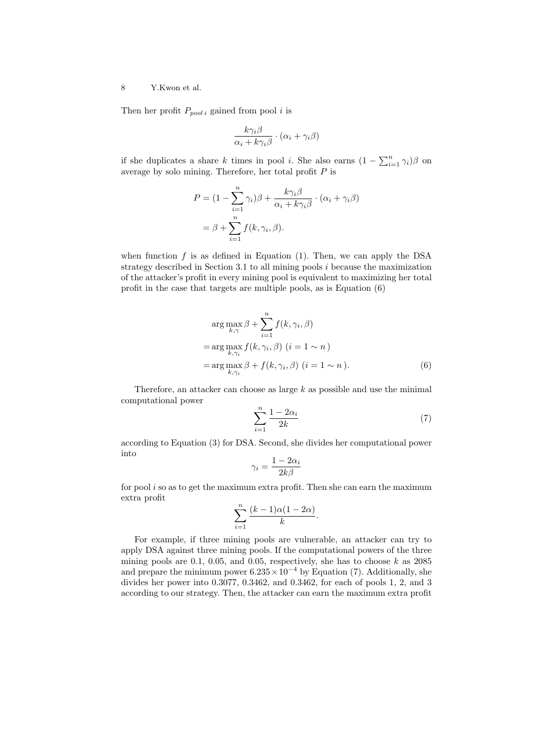Then her profit  $P_{pool\ i}$  gained from pool *i* is

$$
\frac{k\gamma_i\beta}{\alpha_i + k\gamma_i\beta} \cdot (\alpha_i + \gamma_i\beta)
$$

if she duplicates a share *k* times in pool *i*. She also earns  $(1 - \sum_{i=1}^{n} \gamma_i)\beta$  on average by solo mining. Therefore, her total profit *P* is

$$
P = (1 - \sum_{i=1}^{n} \gamma_i)\beta + \frac{k\gamma_i\beta}{\alpha_i + k\gamma_i\beta} \cdot (\alpha_i + \gamma_i\beta)
$$

$$
= \beta + \sum_{i=1}^{n} f(k, \gamma_i, \beta).
$$

when function  $f$  is as defined in Equation  $(1)$ . Then, we can apply the DSA strategy described in Section 3.1 to all mining pools *i* because the maximization of the attacker's profit in every mining pool is equivalent to maximizing her total profit in the case that targets are multiple pools, as is Equation (6)

$$
\arg \max_{k,\gamma} \beta + \sum_{i=1}^{n} f(k, \gamma_i, \beta)
$$
  
= 
$$
\arg \max_{k,\gamma_i} f(k, \gamma_i, \beta) \ (i = 1 \sim n)
$$
  
= 
$$
\arg \max_{k,\gamma_i} \beta + f(k, \gamma_i, \beta) \ (i = 1 \sim n).
$$
 (6)

Therefore, an attacker can choose as large *k* as possible and use the minimal computational power

$$
\sum_{i=1}^{n} \frac{1 - 2\alpha_i}{2k} \tag{7}
$$

according to Equation (3) for DSA. Second, she divides her computational power into

$$
\gamma_i = \frac{1-2\alpha_i}{2k\beta}
$$

for pool *i* so as to get the maximum extra profit. Then she can earn the maximum extra profit

$$
\sum_{i=1}^{n} \frac{(k-1)\alpha(1-2\alpha)}{k}.
$$

For example, if three mining pools are vulnerable, an attacker can try to apply DSA against three mining pools. If the computational powers of the three mining pools are 0.1, 0.05, and 0.05, respectively, she has to choose *k* as 2085 and prepare the minimum power  $6.235 \times 10^{-4}$  by Equation (7). Additionally, she divides her power into 0.3077, 0.3462, and 0.3462, for each of pools 1, 2, and 3 according to our strategy. Then, the attacker can earn the maximum extra profit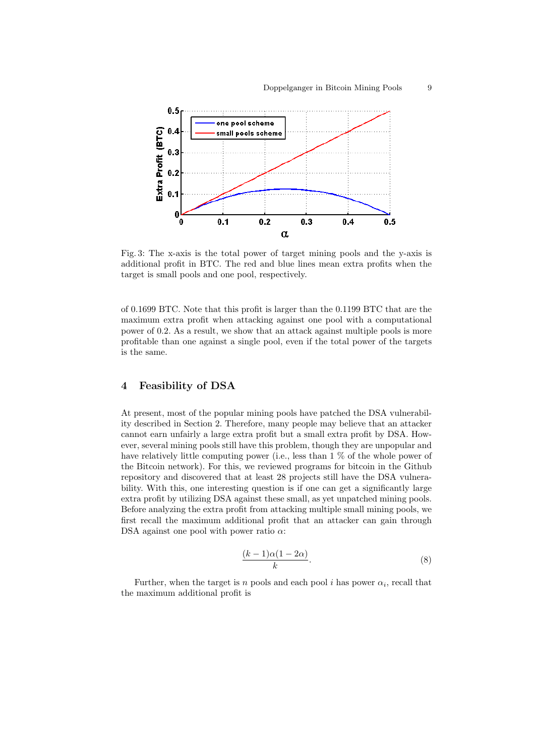

Fig. 3: The x-axis is the total power of target mining pools and the y-axis is additional profit in BTC. The red and blue lines mean extra profits when the target is small pools and one pool, respectively.

of 0.1699 BTC. Note that this profit is larger than the 0.1199 BTC that are the maximum extra profit when attacking against one pool with a computational power of 0.2. As a result, we show that an attack against multiple pools is more profitable than one against a single pool, even if the total power of the targets is the same.

## **4 Feasibility of DSA**

At present, most of the popular mining pools have patched the DSA vulnerability described in Section 2. Therefore, many people may believe that an attacker cannot earn unfairly a large extra profit but a small extra profit by DSA. However, several mining pools still have this problem, though they are unpopular and have relatively little computing power (i.e., less than  $1\%$  of the whole power of the Bitcoin network). For this, we reviewed programs for bitcoin in the Github repository and discovered that at least 28 projects still have the DSA vulnerability. With this, one interesting question is if one can get a significantly large extra profit by utilizing DSA against these small, as yet unpatched mining pools. Before analyzing the extra profit from attacking multiple small mining pools, we first recall the maximum additional profit that an attacker can gain through DSA against one pool with power ratio *α*:

$$
\frac{(k-1)\alpha(1-2\alpha)}{k}.
$$
 (8)

Further, when the target is *n* pools and each pool *i* has power  $\alpha_i$ , recall that the maximum additional profit is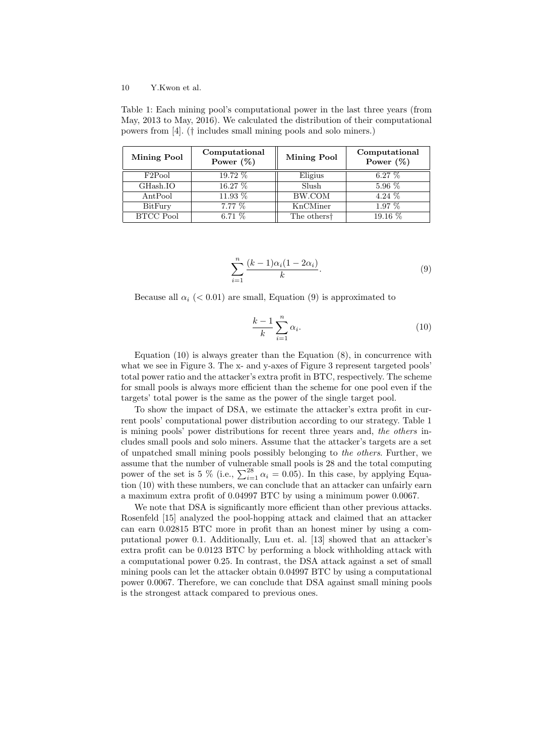Table 1: Each mining pool's computational power in the last three years (from May, 2013 to May, 2016). We calculated the distribution of their computational powers from [4]. (*†* includes small mining pools and solo miners.)

| <b>Mining Pool</b>  | Computational<br>Power $(\%)$ | <b>Mining Pool</b>      | Computational<br>Power $(\%)$ |
|---------------------|-------------------------------|-------------------------|-------------------------------|
| F <sub>2</sub> Pool | $19.72\%$                     | Eligius                 | 6.27%                         |
| GHash.IO            | 16.27 %                       | Slush                   | $5.96\%$                      |
| AntPool             | 11.93 %                       | BW.COM                  | 4.24 $%$                      |
| BitFury             | $7.77\%$                      | KnCMiner                | $1.97\%$                      |
| <b>BTCC Pool</b>    | 6.71 $%$                      | The others <sup>†</sup> | $19.16\%$                     |

$$
\sum_{i=1}^{n} \frac{(k-1)\alpha_i(1-2\alpha_i)}{k}.\tag{9}
$$

Because all  $\alpha_i$  ( $<$  0.01) are small, Equation (9) is approximated to

$$
\frac{k-1}{k} \sum_{i=1}^{n} \alpha_i.
$$
 (10)

Equation  $(10)$  is always greater than the Equation  $(8)$ , in concurrence with what we see in Figure 3. The x- and y-axes of Figure 3 represent targeted pools' total power ratio and the attacker's extra profit in BTC, respectively. The scheme for small pools is always more efficient than the scheme for one pool even if the targets' total power is the same as the power of the single target pool.

To show the impact of DSA, we estimate the attacker's extra profit in current pools' computational power distribution according to our strategy. Table 1 is mining pools' power distributions for recent three years and, *the others* includes small pools and solo miners. Assume that the attacker's targets are a set of unpatched small mining pools possibly belonging to *the others*. Further, we assume that the number of vulnerable small pools is 28 and the total computing power of the set is 5 % (i.e.,  $\sum_{i=1}^{28} \alpha_i = 0.05$ ). In this case, by applying Equation (10) with these numbers, we can conclude that an attacker can unfairly earn a maximum extra profit of 0.04997 BTC by using a minimum power 0.0067.

We note that DSA is significantly more efficient than other previous attacks. Rosenfeld [15] analyzed the pool-hopping attack and claimed that an attacker can earn 0.02815 BTC more in profit than an honest miner by using a computational power 0.1. Additionally, Luu et. al. [13] showed that an attacker's extra profit can be 0.0123 BTC by performing a block withholding attack with a computational power 0.25. In contrast, the DSA attack against a set of small mining pools can let the attacker obtain 0.04997 BTC by using a computational power 0.0067. Therefore, we can conclude that DSA against small mining pools is the strongest attack compared to previous ones.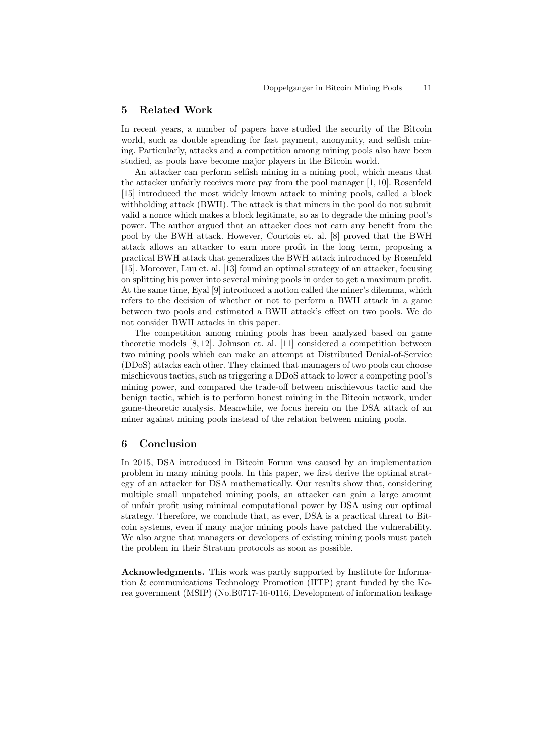#### **5 Related Work**

In recent years, a number of papers have studied the security of the Bitcoin world, such as double spending for fast payment, anonymity, and selfish mining. Particularly, attacks and a competition among mining pools also have been studied, as pools have become major players in the Bitcoin world.

An attacker can perform selfish mining in a mining pool, which means that the attacker unfairly receives more pay from the pool manager [1, 10]. Rosenfeld [15] introduced the most widely known attack to mining pools, called a block withholding attack (BWH). The attack is that miners in the pool do not submit valid a nonce which makes a block legitimate, so as to degrade the mining pool's power. The author argued that an attacker does not earn any benefit from the pool by the BWH attack. However, Courtois et. al. [8] proved that the BWH attack allows an attacker to earn more profit in the long term, proposing a practical BWH attack that generalizes the BWH attack introduced by Rosenfeld [15]. Moreover, Luu et. al. [13] found an optimal strategy of an attacker, focusing on splitting his power into several mining pools in order to get a maximum profit. At the same time, Eyal [9] introduced a notion called the miner's dilemma, which refers to the decision of whether or not to perform a BWH attack in a game between two pools and estimated a BWH attack's effect on two pools. We do not consider BWH attacks in this paper.

The competition among mining pools has been analyzed based on game theoretic models [8, 12]. Johnson et. al. [11] considered a competition between two mining pools which can make an attempt at Distributed Denial-of-Service (DDoS) attacks each other. They claimed that mamagers of two pools can choose mischievous tactics, such as triggering a DDoS attack to lower a competing pool's mining power, and compared the trade-off between mischievous tactic and the benign tactic, which is to perform honest mining in the Bitcoin network, under game-theoretic analysis. Meanwhile, we focus herein on the DSA attack of an miner against mining pools instead of the relation between mining pools.

### **6 Conclusion**

In 2015, DSA introduced in Bitcoin Forum was caused by an implementation problem in many mining pools. In this paper, we first derive the optimal strategy of an attacker for DSA mathematically. Our results show that, considering multiple small unpatched mining pools, an attacker can gain a large amount of unfair profit using minimal computational power by DSA using our optimal strategy. Therefore, we conclude that, as ever, DSA is a practical threat to Bitcoin systems, even if many major mining pools have patched the vulnerability. We also argue that managers or developers of existing mining pools must patch the problem in their Stratum protocols as soon as possible.

**Acknowledgments.** This work was partly supported by Institute for Information & communications Technology Promotion (IITP) grant funded by the Korea government (MSIP) (No.B0717-16-0116, Development of information leakage